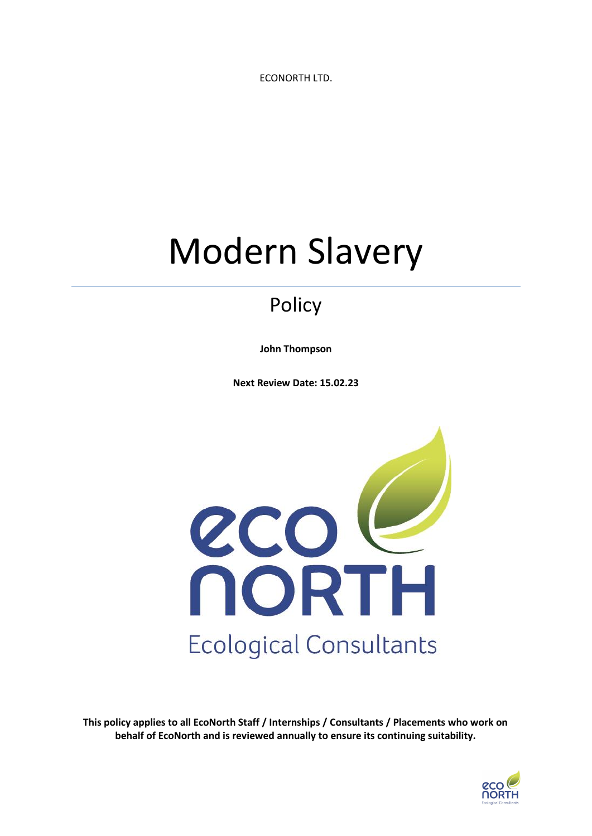ECONORTH LTD.

# Modern Slavery

## Policy

**John Thompson**

**Next Review Date: 15.02.23**



**This policy applies to all EcoNorth Staff / Internships / Consultants / Placements who work on behalf of EcoNorth and is reviewed annually to ensure its continuing suitability.**

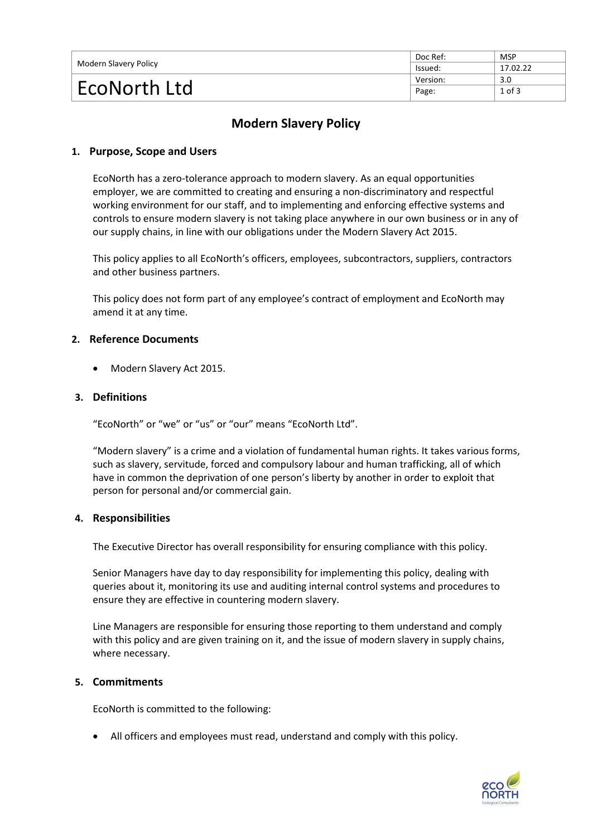| Modern Slavery Policy | Doc Ref: | <b>MSP</b> |
|-----------------------|----------|------------|
|                       | lssued:  | 17.02.22   |
| EcoNorth Ltd          | Version: | 3.0        |
|                       | Page:    | $1$ of $3$ |

### **Modern Slavery Policy**

#### **1. Purpose, Scope and Users**

EcoNorth has a zero-tolerance approach to modern slavery. As an equal opportunities employer, we are committed to creating and ensuring a non-discriminatory and respectful working environment for our staff, and to implementing and enforcing effective systems and controls to ensure modern slavery is not taking place anywhere in our own business or in any of our supply chains, in line with our obligations under the Modern Slavery Act 2015.

This policy applies to all EcoNorth's officers, employees, subcontractors, suppliers, contractors and other business partners.

This policy does not form part of any employee's contract of employment and EcoNorth may amend it at any time.

#### **2. Reference Documents**

• Modern Slavery Act 2015.

#### **3. Definitions**

"EcoNorth" or "we" or "us" or "our" means "EcoNorth Ltd".

"Modern slavery" is a crime and a violation of fundamental human rights. It takes various forms, such as slavery, servitude, forced and compulsory labour and human trafficking, all of which have in common the deprivation of one person's liberty by another in order to exploit that person for personal and/or commercial gain.

#### **4. Responsibilities**

The Executive Director has overall responsibility for ensuring compliance with this policy.

Senior Managers have day to day responsibility for implementing this policy, dealing with queries about it, monitoring its use and auditing internal control systems and procedures to ensure they are effective in countering modern slavery.

Line Managers are responsible for ensuring those reporting to them understand and comply with this policy and are given training on it, and the issue of modern slavery in supply chains, where necessary.

#### **5. Commitments**

EcoNorth is committed to the following:

• All officers and employees must read, understand and comply with this policy.

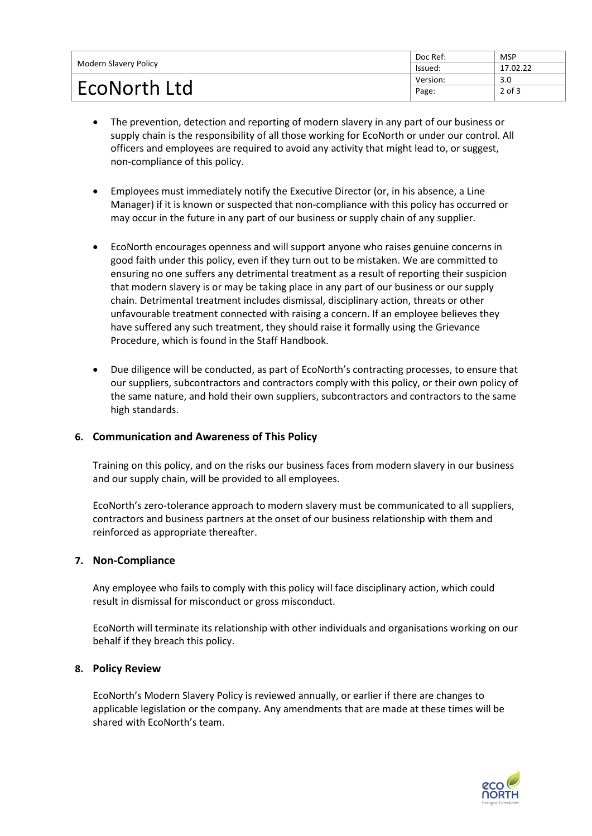| Modern Slavery Policy | Doc Ref: | <b>MSP</b> |
|-----------------------|----------|------------|
|                       | Issued:  | 17.02.22   |
| EcoNorth Ltd          | Version: | 3.0        |
|                       | Page:    | $2$ of $3$ |

- The prevention, detection and reporting of modern slavery in any part of our business or supply chain is the responsibility of all those working for EcoNorth or under our control. All officers and employees are required to avoid any activity that might lead to, or suggest, non-compliance of this policy.
- Employees must immediately notify the Executive Director (or, in his absence, a Line Manager) if it is known or suspected that non-compliance with this policy has occurred or may occur in the future in any part of our business or supply chain of any supplier.
- EcoNorth encourages openness and will support anyone who raises genuine concerns in good faith under this policy, even if they turn out to be mistaken. We are committed to ensuring no one suffers any detrimental treatment as a result of reporting their suspicion that modern slavery is or may be taking place in any part of our business or our supply chain. Detrimental treatment includes dismissal, disciplinary action, threats or other unfavourable treatment connected with raising a concern. If an employee believes they have suffered any such treatment, they should raise it formally using the Grievance Procedure, which is found in the Staff Handbook.
- Due diligence will be conducted, as part of EcoNorth's contracting processes, to ensure that our suppliers, subcontractors and contractors comply with this policy, or their own policy of the same nature, and hold their own suppliers, subcontractors and contractors to the same high standards.

#### **6. Communication and Awareness of This Policy**

Training on this policy, and on the risks our business faces from modern slavery in our business and our supply chain, will be provided to all employees.

EcoNorth's zero-tolerance approach to modern slavery must be communicated to all suppliers, contractors and business partners at the onset of our business relationship with them and reinforced as appropriate thereafter.

#### **7. Non-Compliance**

Any employee who fails to comply with this policy will face disciplinary action, which could result in dismissal for misconduct or gross misconduct.

EcoNorth will terminate its relationship with other individuals and organisations working on our behalf if they breach this policy.

#### **8. Policy Review**

EcoNorth's Modern Slavery Policy is reviewed annually, or earlier if there are changes to applicable legislation or the company. Any amendments that are made at these times will be shared with EcoNorth's team.